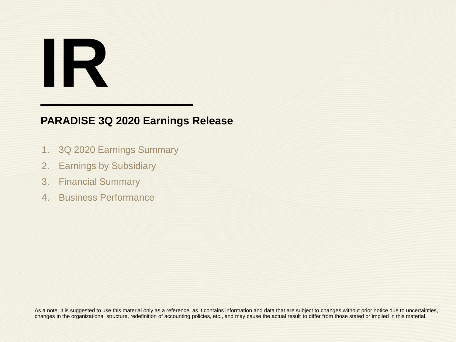# **IR**

# **PARADISE 3Q 2020 Earnings Release**

- 1. 3Q 2020 Earnings Summary
- 2. Earnings by Subsidiary
- 3. Financial Summary
- 4. Business Performance

As a note, it is suggested to use this material only as a reference, as it contains information and data that are subject to changes without prior notice due to uncertainties, changes in the organizational structure, redefinition of accounting policies, etc., and may cause the actual result to differ from those stated or implied in this material.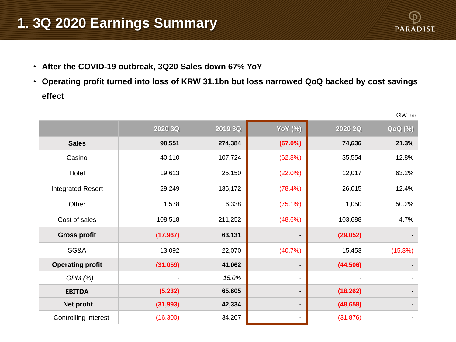# **1. 3Q 2020 Earnings Summary**



KRW mn

- **After the COVID-19 outbreak, 3Q20 Sales down 67% YoY**
- **Operating profit turned into loss of KRW 31.1bn but loss narrowed QoQ backed by cost savings effect**

|                          | 2020 3Q   | 2019 3Q | <b>YoY</b> (%)           | 2020 2Q   | <b>QoQ</b> (%) |
|--------------------------|-----------|---------|--------------------------|-----------|----------------|
| <b>Sales</b>             | 90,551    | 274,384 | (67.0%)                  | 74,636    | 21.3%          |
| Casino                   | 40,110    | 107,724 | (62.8%)                  | 35,554    | 12.8%          |
| Hotel                    | 19,613    | 25,150  | $(22.0\%)$               | 12,017    | 63.2%          |
| <b>Integrated Resort</b> | 29,249    | 135,172 | (78.4%)                  | 26,015    | 12.4%          |
| Other                    | 1,578     | 6,338   | $(75.1\%)$               | 1,050     | 50.2%          |
| Cost of sales            | 108,518   | 211,252 | (48.6%)                  | 103,688   | 4.7%           |
| <b>Gross profit</b>      | (17, 967) | 63,131  |                          | (29, 052) |                |
| SG&A                     | 13,092    | 22,070  | (40.7%                   | 15,453    | (15.3%)        |
| <b>Operating profit</b>  | (31, 059) | 41,062  |                          | (44, 506) |                |
| OPM(%)                   |           | 15.0%   | $\overline{\phantom{a}}$ |           |                |
| <b>EBITDA</b>            | (5,232)   | 65,605  |                          | (18, 262) |                |
| <b>Net profit</b>        | (31, 993) | 42,334  |                          | (48, 658) |                |
| Controlling interest     | (16, 300) | 34,207  |                          | (31, 876) | $\blacksquare$ |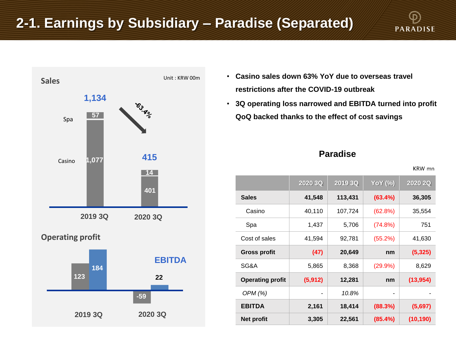# **2-1. Earnings by Subsidiary – Paradise (Separated)**



- **Casino sales down 63% YoY due to overseas travel restrictions after the COVID-19 outbreak**
- **3Q operating loss narrowed and EBITDA turned into profit QoQ backed thanks to the effect of cost savings**

### **Paradise**

KRW mn

**PARADISE** 

|                         | 2020 3Q  | 2019 3Q | <b>YoY</b> (%) | 2020 2Q   |
|-------------------------|----------|---------|----------------|-----------|
| <b>Sales</b>            | 41,548   | 113,431 | (63.4%)        | 36,305    |
| Casino                  | 40,110   | 107,724 | (62.8%)        | 35,554    |
| Spa                     | 1,437    | 5,706   | (74.8%)        | 751       |
| Cost of sales           | 41,594   | 92,781  | (55.2%)        | 41,630    |
| <b>Gross profit</b>     | (47)     | 20,649  | nm             | (5, 325)  |
| SG&A                    | 5,865    | 8,368   | $(29.9\%)$     | 8,629     |
| <b>Operating profit</b> | (5, 912) | 12,281  | nm             | (13, 954) |
| OPM (%)                 |          | 10.8%   |                |           |
| <b>EBITDA</b>           | 2,161    | 18,414  | (88.3%)        | (5,697)   |
| <b>Net profit</b>       | 3,305    | 22,561  | (85.4%)        | (10, 190) |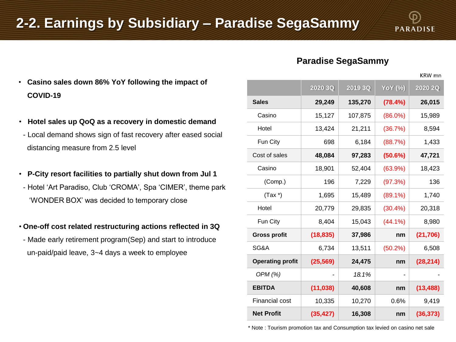# **Paradise SegaSammy**

KRW mn

- **Casino sales down 86% YoY following the impact of COVID-19**
- **Hotel sales up QoQ as a recovery in domestic demand**
- Local demand shows sign of fast recovery after eased social distancing measure from 2.5 level
- **P-City resort facilities to partially shut down from Jul 1**
- Hotel 'Art Paradiso, Club 'CROMA', Spa 'CIMER', theme park 'WONDER BOX' was decided to temporary close
- **One-off cost related restructuring actions reflected in 3Q**
	- Made early retirement program(Sep) and start to introduce un-paid/paid leave, 3~4 days a week to employee

|                         | 2020 3Q   | 2019 3Q | <b>YoY</b> (%) | 2020 2Q   |
|-------------------------|-----------|---------|----------------|-----------|
| <b>Sales</b>            | 29,249    | 135,270 | (78.4%)        | 26,015    |
|                         |           |         |                |           |
| Casino                  | 15,127    | 107,875 | $(86.0\%)$     | 15,989    |
| Hotel                   | 13,424    | 21,211  | (36.7%)        | 8,594     |
| Fun City                | 698       | 6,184   | (88.7%)        | 1,433     |
| Cost of sales           | 48,084    | 97,283  | (50.6%)        | 47,721    |
| Casino                  | 18,901    | 52,404  | $(63.9\%)$     | 18,423    |
| (Comp.)                 | 196       | 7,229   | (97.3%)        | 136       |
| $(Tax^*)$               | 1,695     | 15,489  | $(89.1\%)$     | 1,740     |
| Hotel                   | 20,779    | 29,835  | $(30.4\%)$     | 20,318    |
| Fun City                | 8,404     | 15,043  | $(44.1\%)$     | 8,980     |
| <b>Gross profit</b>     | (18, 835) | 37,986  | nm             | (21, 706) |
| SG&A                    | 6,734     | 13,511  | $(50.2\%)$     | 6,508     |
| <b>Operating profit</b> | (25, 569) | 24,475  | nm             | (28, 214) |
| OPM (%)                 |           | 18.1%   |                |           |
| <b>EBITDA</b>           | (11, 038) | 40,608  | nm             | (13, 488) |
| <b>Financial cost</b>   | 10,335    | 10,270  | 0.6%           | 9,419     |
| <b>Net Profit</b>       | (35, 427) | 16,308  | nm             | (36, 373) |

\* Note : Tourism promotion tax and Consumption tax levied on casino net sale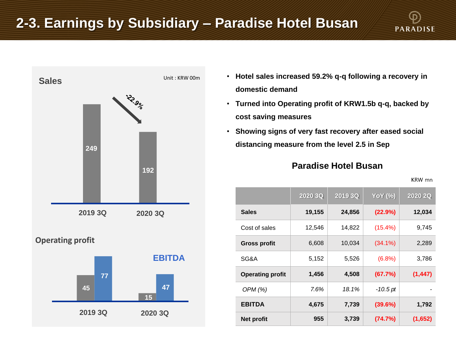# **2-3. Earnings by Subsidiary – Paradise Hotel Busan**





- **Hotel sales increased 59.2% q-q following a recovery in domestic demand**
- **Turned into Operating profit of KRW1.5b q-q, backed by cost saving measures**
- **Showing signs of very fast recovery after eased social distancing measure from the level 2.5 in Sep**

### **Paradise Hotel Busan**

KRW mn

|                         | 2020 3Q | 2019 3Q | <b>YoY</b> (%) | 2020 2Q  |
|-------------------------|---------|---------|----------------|----------|
| <b>Sales</b>            | 19,155  | 24,856  | (22.9%)        | 12,034   |
| Cost of sales           | 12,546  | 14,822  | $(15.4\%)$     | 9,745    |
| <b>Gross profit</b>     | 6,608   | 10,034  | $(34.1\%)$     | 2,289    |
| SG&A                    | 5.152   | 5,526   | (6.8%)         | 3,786    |
| <b>Operating profit</b> | 1,456   | 4,508   | (67.7%)        | (1, 447) |
| OPM (%)                 | 7.6%    | 18.1%   | -10.5 pt       |          |
| <b>EBITDA</b>           | 4,675   | 7,739   | (39.6%)        | 1,792    |
| <b>Net profit</b>       | 955     | 3,739   | (74.7%)        | (1,652)  |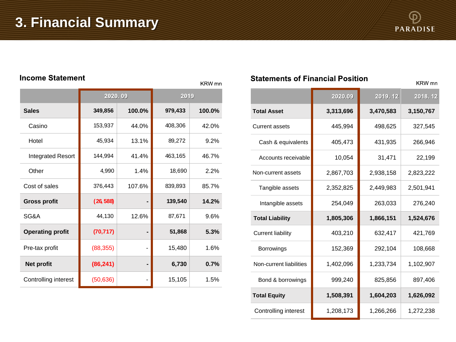

### **Income Statement**

|                          | 2020.09   |        | 2019    |        |  |  |  |  |  |
|--------------------------|-----------|--------|---------|--------|--|--|--|--|--|
| <b>Sales</b>             | 349,856   | 100.0% | 979,433 | 100.0% |  |  |  |  |  |
| Casino                   | 153,937   | 44.0%  | 408,306 | 42.0%  |  |  |  |  |  |
| Hotel                    | 45,934    | 13.1%  | 89,272  | 9.2%   |  |  |  |  |  |
| <b>Integrated Resort</b> | 144,994   | 41.4%  | 463,165 | 46.7%  |  |  |  |  |  |
| Other                    | 4,990     | 1.4%   | 18,690  | 2.2%   |  |  |  |  |  |
| Cost of sales            | 376,443   | 107.6% | 839,893 | 85.7%  |  |  |  |  |  |
| <b>Gross profit</b>      | (26, 588) |        | 139,540 | 14.2%  |  |  |  |  |  |
| SG&A                     | 44,130    | 12.6%  | 87,671  | 9.6%   |  |  |  |  |  |
| <b>Operating profit</b>  | (70, 717) |        | 51,868  | 5.3%   |  |  |  |  |  |
| Pre-tax profit           | (88, 355) |        | 15,480  | 1.6%   |  |  |  |  |  |
| Net profit               | (86, 241) |        | 6,730   | 0.7%   |  |  |  |  |  |
| Controlling interest     | (50, 636) |        | 15,105  | 1.5%   |  |  |  |  |  |

### **Statements of Financial Position**

KRW mn

KRW mn

|                          | 2020.09   | 2019.12   | 2018.12   |  |
|--------------------------|-----------|-----------|-----------|--|
| <b>Total Asset</b>       | 3,313,696 | 3,470,583 | 3,150,767 |  |
| <b>Current assets</b>    | 445,994   | 498,625   | 327,545   |  |
| Cash & equivalents       | 405,473   | 431,935   | 266,946   |  |
| Accounts receivable      | 10,054    | 31,471    | 22,199    |  |
| Non-current assets       | 2,867,703 | 2,938,158 | 2,823,222 |  |
| Tangible assets          | 2,352,825 | 2,449,983 | 2,501,941 |  |
| Intangible assets        | 254,049   | 263,033   | 276,240   |  |
| <b>Total Liability</b>   | 1,805,306 | 1,866,151 | 1,524,676 |  |
| <b>Current liability</b> | 403,210   | 632,417   | 421,769   |  |
| Borrowings               | 152,369   | 292,104   | 108,668   |  |
| Non-current liabilities  | 1,402,096 | 1,233,734 | 1,102,907 |  |
| Bond & borrowings        | 999,240   | 825,856   | 897,406   |  |
| <b>Total Equity</b>      | 1,508,391 | 1,604,203 | 1,626,092 |  |
| Controlling interest     | 1,208,173 | 1,266,266 | 1,272,238 |  |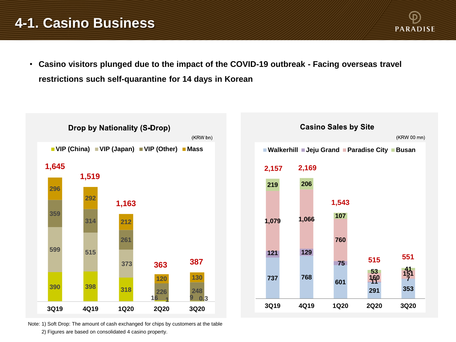# **4-1. Casino Business**

• **Casino visitors plunged due to the impact of the COVID-19 outbreak - Facing overseas travel restrictions such self-quarantine for 14 days in Korean**

**PARADISE** 



Note: 1) Soft Drop: The amount of cash exchanged for chips by customers at the table